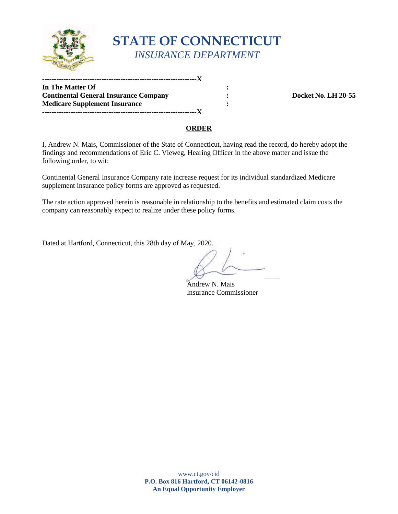

# **STATE OF CONNECTICUT**  *INSURANCE DEPARTMENT*

**In The Matter Of :**   $\cdot$  : **Continental General Insurance Company**  $\qquad \qquad$  **:**  $\qquad \qquad$  **Docket No. LH 20-55 Medicare Supplement Insurance :**  $\qquad \qquad$  **: -----------------------------------------------------------------X -----------------------------------------------------------------X** 

### **ORDER**

 I, Andrew N. Mais, Commissioner of the State of Connecticut, having read the record, do hereby adopt the findings and recommendations of Eric C. Vieweg, Hearing Officer in the above matter and issue the following order, to wit:

 Continental General Insurance Company rate increase request for its individual standardized Medicare supplement insurance policy forms are approved as requested.

 company can reasonably expect to realize under these policy forms. The rate action approved herein is reasonable in relationship to the benefits and estimated claim costs the

Dated at Hartford, Connecticut, this 28th day of May, 2020.

 $\forall$ 

Andrew N. Mais Insurance Commissioner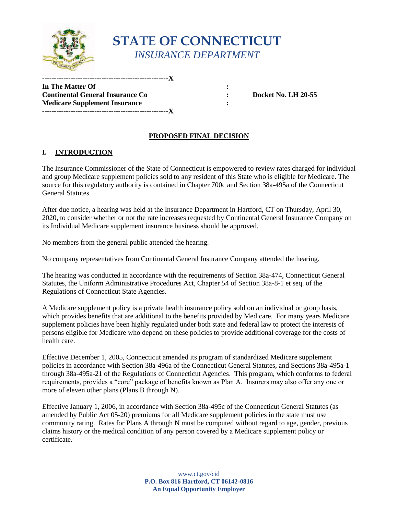

# **STATE OF CONNECTICUT**  *INSURANCE DEPARTMENT*

**In The Matter Of :**   $\cdot$  :  **Continental General Insurance Co : Docket No. LH 20-55 Medicare Supplement Insurance :**  $\qquad \qquad$  **: -----------------------------------------------------X -----------------------------------------------------X** 

# **PROPOSED FINAL DECISION**

### **I. INTRODUCTION**

 The Insurance Commissioner of the State of Connecticut is empowered to review rates charged for individual and group Medicare supplement policies sold to any resident of this State who is eligible for Medicare. The source for this regulatory authority is contained in Chapter 700c and Section 38a-495a of the Connecticut General Statutes.

After due notice, a hearing was held at the Insurance Department in Hartford, CT on Thursday, April 30, 2020, to consider whether or not the rate increases requested by Continental General Insurance Company on its Individual Medicare supplement insurance business should be approved.

No members from the general public attended the hearing.

No company representatives from Continental General Insurance Company attended the hearing.

 Statutes, the Uniform Administrative Procedures Act, Chapter 54 of Section 38a-8-1 et seq. of the The hearing was conducted in accordance with the requirements of Section 38a-474, Connecticut General Regulations of Connecticut State Agencies.

 persons eligible for Medicare who depend on these policies to provide additional coverage for the costs of A Medicare supplement policy is a private health insurance policy sold on an individual or group basis, which provides benefits that are additional to the benefits provided by Medicare. For many years Medicare supplement policies have been highly regulated under both state and federal law to protect the interests of health care.

Effective December 1, 2005, Connecticut amended its program of standardized Medicare supplement policies in accordance with Section 38a-496a of the Connecticut General Statutes, and Sections 38a-495a-1 through 38a-495a-21 of the Regulations of Connecticut Agencies. This program, which conforms to federal requirements, provides a "core" package of benefits known as Plan A. Insurers may also offer any one or more of eleven other plans (Plans B through N).

 Effective January 1, 2006, in accordance with Section 38a-495c of the Connecticut General Statutes (as community rating. Rates for Plans A through N must be computed without regard to age, gender, previous amended by Public Act 05-20) premiums for all Medicare supplement policies in the state must use claims history or the medical condition of any person covered by a Medicare supplement policy or certificate.

> **P.O. Box 816 Hartford, CT 06142-0816**  www.ct.gov/cid **An Equal Opportunity Employer**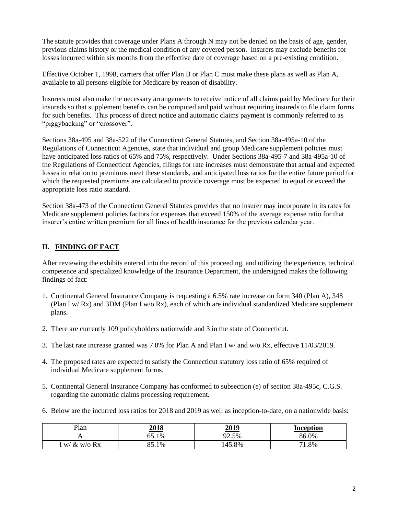previous claims history or the medical condition of any covered person. Insurers may exclude benefits for The statute provides that coverage under Plans A through N may not be denied on the basis of age, gender, losses incurred within six months from the effective date of coverage based on a pre-existing condition.

 available to all persons eligible for Medicare by reason of disability. Effective October 1, 1998, carriers that offer Plan B or Plan C must make these plans as well as Plan A,

 for such benefits. This process of direct notice and automatic claims payment is commonly referred to as Insurers must also make the necessary arrangements to receive notice of all claims paid by Medicare for their insureds so that supplement benefits can be computed and paid without requiring insureds to file claim forms "piggybacking" or "crossover".

Sections 38a-495 and 38a-522 of the Connecticut General Statutes, and Section 38a-495a-10 of the Regulations of Connecticut Agencies, state that individual and group Medicare supplement policies must have anticipated loss ratios of 65% and 75%, respectively. Under Sections 38a-495-7 and 38a-495a-10 of the Regulations of Connecticut Agencies, filings for rate increases must demonstrate that actual and expected losses in relation to premiums meet these standards, and anticipated loss ratios for the entire future period for which the requested premiums are calculated to provide coverage must be expected to equal or exceed the appropriate loss ratio standard.

 Section 38a-473 of the Connecticut General Statutes provides that no insurer may incorporate in its rates for Medicare supplement policies factors for expenses that exceed 150% of the average expense ratio for that insurer's entire written premium for all lines of health insurance for the previous calendar year.

## **II. FINDING OF FACT**

 findings of fact: After reviewing the exhibits entered into the record of this proceeding, and utilizing the experience, technical competence and specialized knowledge of the Insurance Department, the undersigned makes the following

- 1. Continental General Insurance Company is requesting a 6.5% rate increase on form 340 (Plan A), 348 (Plan I w/ Rx) and 3DM (Plan I w/o Rx), each of which are individual standardized Medicare supplement plans.
- 2. There are currently 109 policyholders nationwide and 3 in the state of Connecticut.
- 3. The last rate increase granted was 7.0% for Plan A and Plan I w/ and w/o Rx, effective 11/03/2019.
- 4. The proposed rates are expected to satisfy the Connecticut statutory loss ratio of 65% required of individual Medicare supplement forms.
- 5. Continental General Insurance Company has conformed to subsection (e) of section 38a-495c, C.G.S. regarding the automatic claims processing requirement.
- 6. Below are the incurred loss ratios for 2018 and 2019 as well as inception-to-date, on a nationwide basis:

| Plan                    | 2018                | 2019   | Inception  |
|-------------------------|---------------------|--------|------------|
|                         | 65.1%               | 92.5%  | 86.0%      |
| $\&$<br>$w$ /0 Rx<br>W/ | $Q \subseteq$<br>1% | 145.8% | 71<br>1.8% |